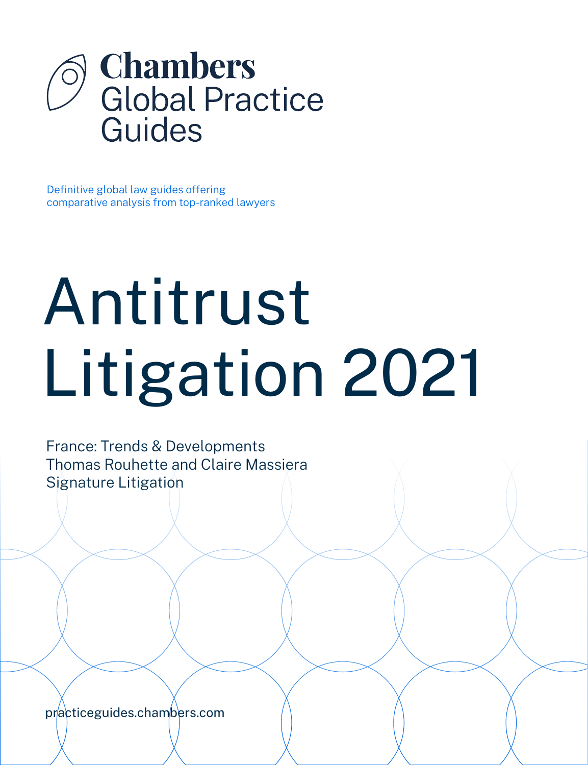

Definitive global law guides offering comparative analysis from top-ranked lawyers

# Antitrust Litigation 2021

France: Trends & Developments Thomas Rouhette and Claire Massiera Signature Litigation

[practiceguides.chambers.com](http://practiceguides.chambers.com)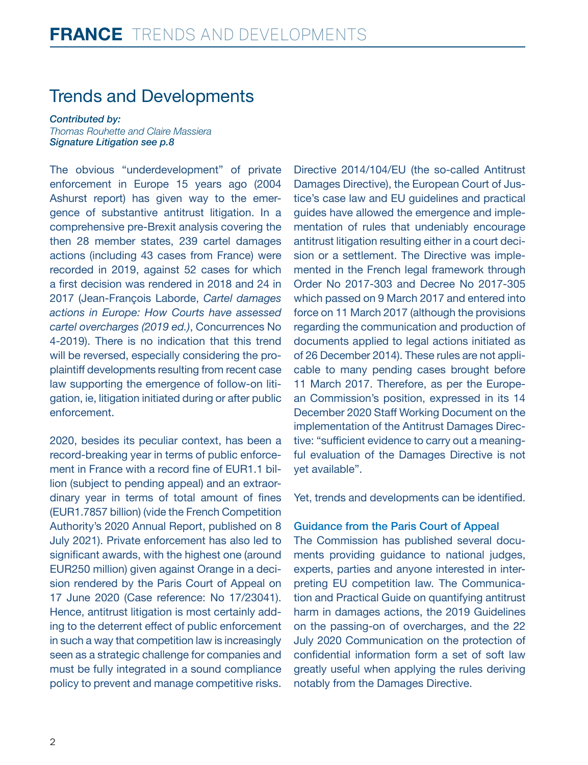## Trends and Developments

*Contributed by: Thomas Rouhette and Claire Massiera Signature Litigatio[n see p.8](#page-7-0)*

The obvious "underdevelopment" of private enforcement in Europe 15 years ago (2004 Ashurst report) has given way to the emergence of substantive antitrust litigation. In a comprehensive pre-Brexit analysis covering the then 28 member states, 239 cartel damages actions (including 43 cases from France) were recorded in 2019, against 52 cases for which a first decision was rendered in 2018 and 24 in 2017 (Jean-François Laborde, *Cartel damages actions in Europe: How Courts have assessed cartel overcharges (2019 ed.)*, Concurrences No 4-2019). There is no indication that this trend will be reversed, especially considering the proplaintiff developments resulting from recent case law supporting the emergence of follow-on litigation, ie, litigation initiated during or after public enforcement.

2020, besides its peculiar context, has been a record-breaking year in terms of public enforcement in France with a record fine of EUR1.1 billion (subject to pending appeal) and an extraordinary year in terms of total amount of fines (EUR1.7857 billion) (vide the French Competition Authority's 2020 Annual Report, published on 8 July 2021). Private enforcement has also led to significant awards, with the highest one (around EUR250 million) given against Orange in a decision rendered by the Paris Court of Appeal on 17 June 2020 (Case reference: No 17/23041). Hence, antitrust litigation is most certainly adding to the deterrent effect of public enforcement in such a way that competition law is increasingly seen as a strategic challenge for companies and must be fully integrated in a sound compliance policy to prevent and manage competitive risks. Directive 2014/104/EU (the so-called Antitrust Damages Directive), the European Court of Justice's case law and EU guidelines and practical guides have allowed the emergence and implementation of rules that undeniably encourage antitrust litigation resulting either in a court decision or a settlement. The Directive was implemented in the French legal framework through Order No 2017-303 and Decree No 2017-305 which passed on 9 March 2017 and entered into force on 11 March 2017 (although the provisions regarding the communication and production of documents applied to legal actions initiated as of 26 December 2014). These rules are not applicable to many pending cases brought before 11 March 2017. Therefore, as per the European Commission's position, expressed in its 14 December 2020 Staff Working Document on the implementation of the Antitrust Damages Directive: "sufficient evidence to carry out a meaningful evaluation of the Damages Directive is not yet available".

Yet, trends and developments can be identified.

#### Guidance from the Paris Court of Appeal

The Commission has published several documents providing guidance to national judges, experts, parties and anyone interested in interpreting EU competition law. The Communication and Practical Guide on quantifying antitrust harm in damages actions, the 2019 Guidelines on the passing-on of overcharges, and the 22 July 2020 Communication on the protection of confidential information form a set of soft law greatly useful when applying the rules deriving notably from the Damages Directive.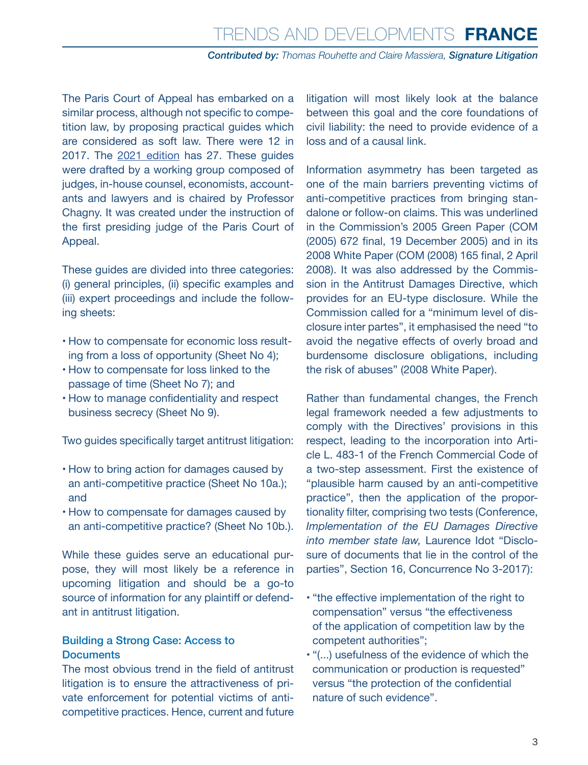The Paris Court of Appeal has embarked on a similar process, although not specific to competition law, by proposing practical guides which are considered as soft law. There were 12 in 2017. The [2021 edition](https://www.cours-appel.justice.fr/paris/fiches-sur-la-reparation-du-prejudice-economique-2020) has 27. These guides were drafted by a working group composed of judges, in-house counsel, economists, accountants and lawyers and is chaired by Professor Chagny. It was created under the instruction of the first presiding judge of the Paris Court of Appeal.

These guides are divided into three categories: (i) general principles, (ii) specific examples and (iii) expert proceedings and include the following sheets:

- How to compensate for economic loss resulting from a loss of opportunity (Sheet No 4);
- How to compensate for loss linked to the passage of time (Sheet No 7); and
- How to manage confidentiality and respect business secrecy (Sheet No 9).

Two guides specifically target antitrust litigation:

- How to bring action for damages caused by an anti-competitive practice (Sheet No 10a.); and
- How to compensate for damages caused by an anti-competitive practice? (Sheet No 10b.).

While these quides serve an educational purpose, they will most likely be a reference in upcoming litigation and should be a go-to source of information for any plaintiff or defendant in antitrust litigation.

#### Building a Strong Case: Access to **Documents**

The most obvious trend in the field of antitrust litigation is to ensure the attractiveness of private enforcement for potential victims of anticompetitive practices. Hence, current and future

litigation will most likely look at the balance between this goal and the core foundations of civil liability: the need to provide evidence of a loss and of a causal link.

Information asymmetry has been targeted as one of the main barriers preventing victims of anti-competitive practices from bringing standalone or follow-on claims. This was underlined in the Commission's 2005 Green Paper (COM (2005) 672 final, 19 December 2005) and in its 2008 White Paper (COM (2008) 165 final, 2 April 2008). It was also addressed by the Commission in the Antitrust Damages Directive, which provides for an EU-type disclosure. While the Commission called for a "minimum level of disclosure inter partes", it emphasised the need "to avoid the negative effects of overly broad and burdensome disclosure obligations, including the risk of abuses" (2008 White Paper).

Rather than fundamental changes, the French legal framework needed a few adjustments to comply with the Directives' provisions in this respect, leading to the incorporation into Article L. 483-1 of the French Commercial Code of a two-step assessment. First the existence of "plausible harm caused by an anti-competitive practice", then the application of the proportionality filter, comprising two tests (Conference, *Implementation of the EU Damages Directive into member state law,* Laurence Idot "Disclosure of documents that lie in the control of the parties", Section 16, Concurrence No 3-2017):

- "the effective implementation of the right to compensation" versus "the effectiveness of the application of competition law by the competent authorities";
- "(...) usefulness of the evidence of which the communication or production is requested" versus "the protection of the confidential nature of such evidence".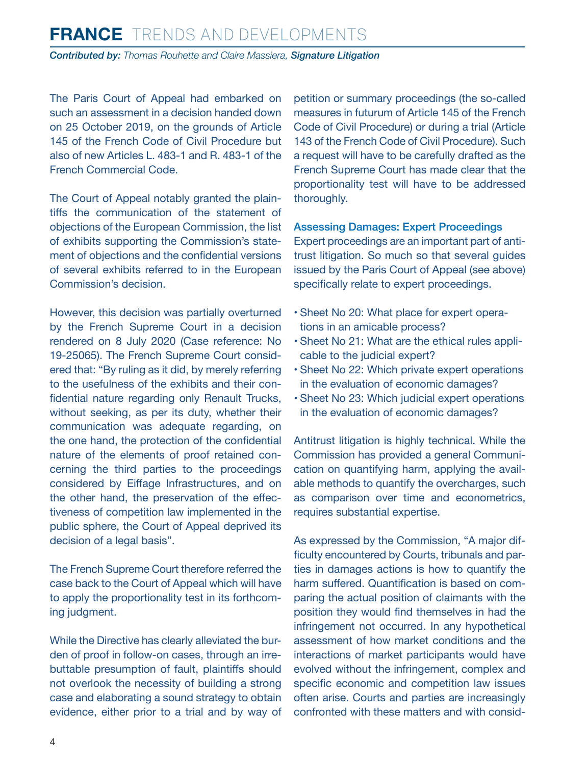### **FRANCE** Trends and Developments *Contributed by: Thomas Rouhette and Claire Massiera, Signature Litigation*

The Paris Court of Appeal had embarked on such an assessment in a decision handed down on 25 October 2019, on the grounds of Article 145 of the French Code of Civil Procedure but also of new Articles L. 483-1 and R. 483-1 of the French Commercial Code.

The Court of Appeal notably granted the plaintiffs the communication of the statement of objections of the European Commission, the list of exhibits supporting the Commission's statement of objections and the confidential versions of several exhibits referred to in the European Commission's decision.

However, this decision was partially overturned by the French Supreme Court in a decision rendered on 8 July 2020 (Case reference: No 19-25065). The French Supreme Court considered that: "By ruling as it did, by merely referring to the usefulness of the exhibits and their confidential nature regarding only Renault Trucks, without seeking, as per its duty, whether their communication was adequate regarding, on the one hand, the protection of the confidential nature of the elements of proof retained concerning the third parties to the proceedings considered by Eiffage Infrastructures, and on the other hand, the preservation of the effectiveness of competition law implemented in the public sphere, the Court of Appeal deprived its decision of a legal basis".

The French Supreme Court therefore referred the case back to the Court of Appeal which will have to apply the proportionality test in its forthcoming judgment.

While the Directive has clearly alleviated the burden of proof in follow-on cases, through an irrebuttable presumption of fault, plaintiffs should not overlook the necessity of building a strong case and elaborating a sound strategy to obtain evidence, either prior to a trial and by way of petition or summary proceedings (the so-called measures in futurum of Article 145 of the French Code of Civil Procedure) or during a trial (Article 143 of the French Code of Civil Procedure). Such a request will have to be carefully drafted as the French Supreme Court has made clear that the proportionality test will have to be addressed thoroughly.

#### Assessing Damages: Expert Proceedings

Expert proceedings are an important part of antitrust litigation. So much so that several guides issued by the Paris Court of Appeal (see above) specifically relate to expert proceedings.

- Sheet No 20: What place for expert operations in an amicable process?
- Sheet No 21: What are the ethical rules applicable to the judicial expert?
- Sheet No 22: Which private expert operations in the evaluation of economic damages?
- Sheet No 23: Which judicial expert operations in the evaluation of economic damages?

Antitrust litigation is highly technical. While the Commission has provided a general Communication on quantifying harm, applying the available methods to quantify the overcharges, such as comparison over time and econometrics, requires substantial expertise.

As expressed by the Commission, "A major difficulty encountered by Courts, tribunals and parties in damages actions is how to quantify the harm suffered. Quantification is based on comparing the actual position of claimants with the position they would find themselves in had the infringement not occurred. In any hypothetical assessment of how market conditions and the interactions of market participants would have evolved without the infringement, complex and specific economic and competition law issues often arise. Courts and parties are increasingly confronted with these matters and with consid-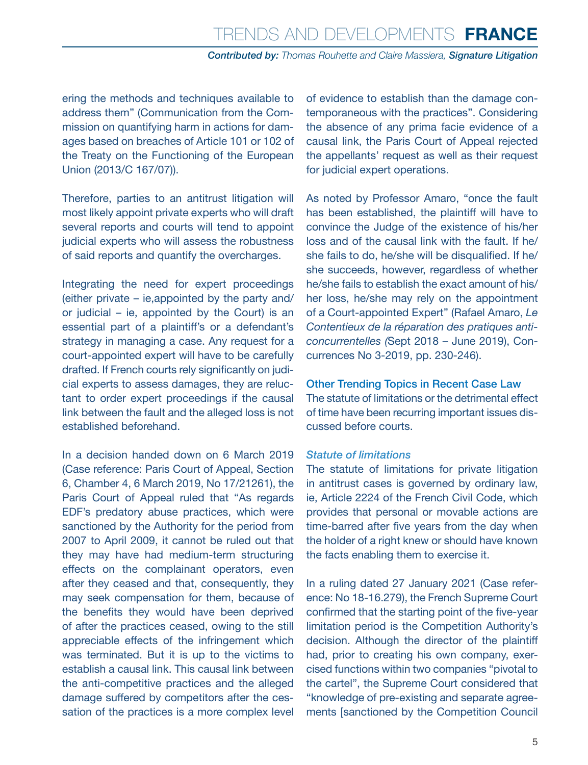ering the methods and techniques available to address them" (Communication from the Commission on quantifying harm in actions for damages based on breaches of Article 101 or 102 of the Treaty on the Functioning of the European Union (2013/C 167/07)).

Therefore, parties to an antitrust litigation will most likely appoint private experts who will draft several reports and courts will tend to appoint judicial experts who will assess the robustness of said reports and quantify the overcharges.

Integrating the need for expert proceedings (either private – ie,appointed by the party and/ or judicial – ie, appointed by the Court) is an essential part of a plaintiff's or a defendant's strategy in managing a case. Any request for a court-appointed expert will have to be carefully drafted. If French courts rely significantly on judicial experts to assess damages, they are reluctant to order expert proceedings if the causal link between the fault and the alleged loss is not established beforehand.

In a decision handed down on 6 March 2019 (Case reference: Paris Court of Appeal, Section 6, Chamber 4, 6 March 2019, No 17/21261), the Paris Court of Appeal ruled that "As regards EDF's predatory abuse practices, which were sanctioned by the Authority for the period from 2007 to April 2009, it cannot be ruled out that they may have had medium-term structuring effects on the complainant operators, even after they ceased and that, consequently, they may seek compensation for them, because of the benefits they would have been deprived of after the practices ceased, owing to the still appreciable effects of the infringement which was terminated. But it is up to the victims to establish a causal link. This causal link between the anti-competitive practices and the alleged damage suffered by competitors after the cessation of the practices is a more complex level

of evidence to establish than the damage contemporaneous with the practices". Considering the absence of any prima facie evidence of a causal link, the Paris Court of Appeal rejected the appellants' request as well as their request for judicial expert operations.

As noted by Professor Amaro, "once the fault has been established, the plaintiff will have to convince the Judge of the existence of his/her loss and of the causal link with the fault. If he/ she fails to do, he/she will be disqualified. If he/ she succeeds, however, regardless of whether he/she fails to establish the exact amount of his/ her loss, he/she may rely on the appointment of a Court-appointed Expert" (Rafael Amaro, *Le Contentieux de la réparation des pratiques anticoncurrentelles (*Sept 2018 – June 2019), Concurrences No 3-2019, pp. 230-246).

#### Other Trending Topics in Recent Case Law

The statute of limitations or the detrimental effect of time have been recurring important issues discussed before courts.

#### *Statute of limitations*

The statute of limitations for private litigation in antitrust cases is governed by ordinary law, ie, Article 2224 of the French Civil Code, which provides that personal or movable actions are time-barred after five years from the day when the holder of a right knew or should have known the facts enabling them to exercise it.

In a ruling dated 27 January 2021 (Case reference: No 18-16.279), the French Supreme Court confirmed that the starting point of the five-year limitation period is the Competition Authority's decision. Although the director of the plaintiff had, prior to creating his own company, exercised functions within two companies "pivotal to the cartel", the Supreme Court considered that "knowledge of pre-existing and separate agreements [sanctioned by the Competition Council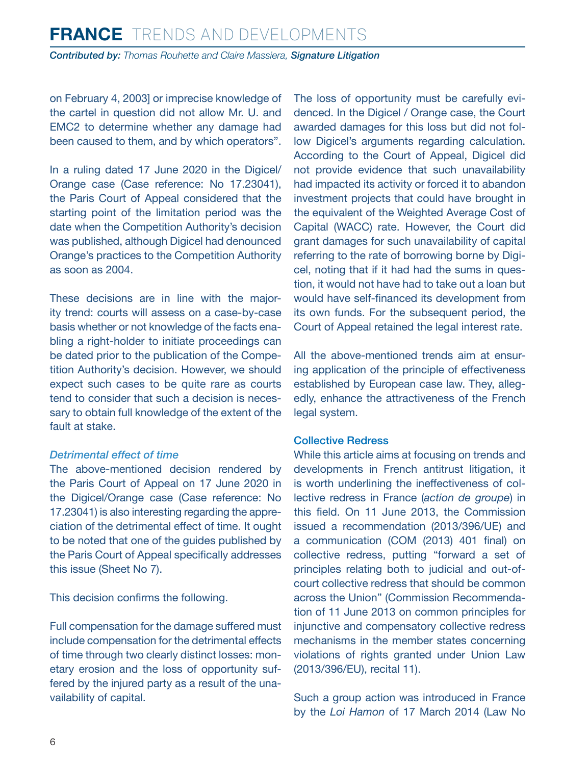on February 4, 2003] or imprecise knowledge of the cartel in question did not allow Mr. U. and EMC2 to determine whether any damage had been caused to them, and by which operators".

In a ruling dated 17 June 2020 in the Digicel/ Orange case (Case reference: No 17.23041), the Paris Court of Appeal considered that the starting point of the limitation period was the date when the Competition Authority's decision was published, although Digicel had denounced Orange's practices to the Competition Authority as soon as 2004.

These decisions are in line with the majority trend: courts will assess on a case-by-case basis whether or not knowledge of the facts enabling a right-holder to initiate proceedings can be dated prior to the publication of the Competition Authority's decision. However, we should expect such cases to be quite rare as courts tend to consider that such a decision is necessary to obtain full knowledge of the extent of the fault at stake.

#### *Detrimental effect of time*

The above-mentioned decision rendered by the Paris Court of Appeal on 17 June 2020 in the Digicel/Orange case (Case reference: No 17.23041) is also interesting regarding the appreciation of the detrimental effect of time. It ought to be noted that one of the guides published by the Paris Court of Appeal specifically addresses this issue (Sheet No 7).

This decision confirms the following.

Full compensation for the damage suffered must include compensation for the detrimental effects of time through two clearly distinct losses: monetary erosion and the loss of opportunity suffered by the injured party as a result of the unavailability of capital.

The loss of opportunity must be carefully evidenced. In the Digicel / Orange case, the Court awarded damages for this loss but did not follow Digicel's arguments regarding calculation. According to the Court of Appeal, Digicel did not provide evidence that such unavailability had impacted its activity or forced it to abandon investment projects that could have brought in the equivalent of the Weighted Average Cost of Capital (WACC) rate. However, the Court did grant damages for such unavailability of capital referring to the rate of borrowing borne by Digicel, noting that if it had had the sums in question, it would not have had to take out a loan but would have self-financed its development from its own funds. For the subsequent period, the Court of Appeal retained the legal interest rate.

All the above-mentioned trends aim at ensuring application of the principle of effectiveness established by European case law. They, allegedly, enhance the attractiveness of the French legal system.

#### Collective Redress

While this article aims at focusing on trends and developments in French antitrust litigation, it is worth underlining the ineffectiveness of collective redress in France (*action de groupe*) in this field. On 11 June 2013, the Commission issued a recommendation (2013/396/UE) and a communication (COM (2013) 401 final) on collective redress, putting "forward a set of principles relating both to judicial and out-ofcourt collective redress that should be common across the Union" (Commission Recommendation of 11 June 2013 on common principles for injunctive and compensatory collective redress mechanisms in the member states concerning violations of rights granted under Union Law (2013/396/EU), recital 11).

Such a group action was introduced in France by the *Loi Hamon* of 17 March 2014 (Law No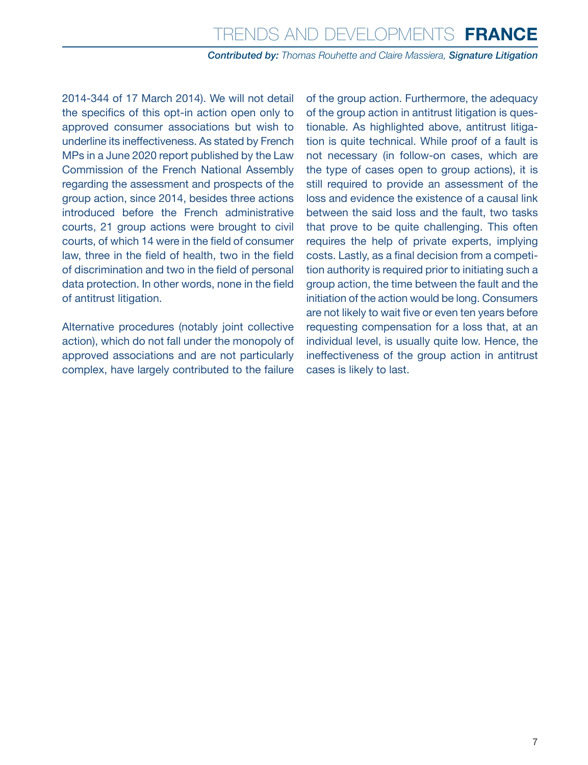2014-344 of 17 March 2014). We will not detail the specifics of this opt-in action open only to approved consumer associations but wish to underline its ineffectiveness. As stated by French MPs in a June 2020 report published by the Law Commission of the French National Assembly regarding the assessment and prospects of the group action, since 2014, besides three actions introduced before the French administrative courts, 21 group actions were brought to civil courts, of which 14 were in the field of consumer law, three in the field of health, two in the field of discrimination and two in the field of personal data protection. In other words, none in the field of antitrust litigation.

Alternative procedures (notably joint collective action), which do not fall under the monopoly of approved associations and are not particularly complex, have largely contributed to the failure of the group action. Furthermore, the adequacy of the group action in antitrust litigation is questionable. As highlighted above, antitrust litigation is quite technical. While proof of a fault is not necessary (in follow-on cases, which are the type of cases open to group actions), it is still required to provide an assessment of the loss and evidence the existence of a causal link between the said loss and the fault, two tasks that prove to be quite challenging. This often requires the help of private experts, implying costs. Lastly, as a final decision from a competition authority is required prior to initiating such a group action, the time between the fault and the initiation of the action would be long. Consumers are not likely to wait five or even ten years before requesting compensation for a loss that, at an individual level, is usually quite low. Hence, the ineffectiveness of the group action in antitrust cases is likely to last.